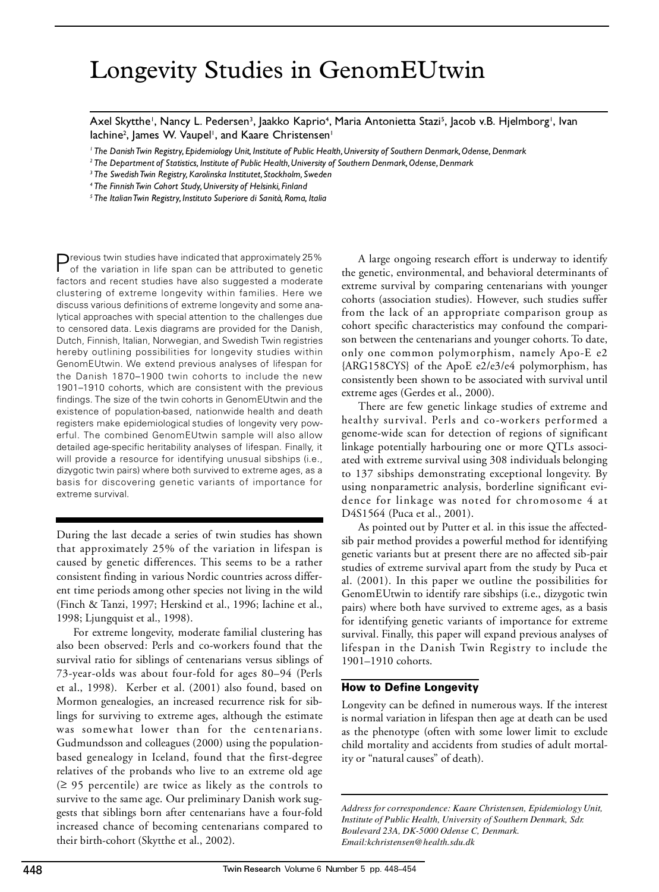# Longevity Studies in GenomEUtwin

Axel Skytthe', Nancy L. Pedersen<sup>3</sup>, Jaakko Kaprio<sup>4</sup>, Maria Antonietta Stazi<sup>5</sup>, Jacob v.B. Hjelmborg', Ivan lachine<sup>2</sup>, James W. Vaupel', and Kaare Christensen'

<sup>1</sup> The Danish Twin Registry, Epidemiology Unit, Institute of Public Health, University of Southern Denmark, Odense, Denmark

*<sup>2</sup> The Department of Statistics, Institute of Public Health,University of Southern Denmark,Odense,Denmark* 

<sup>3</sup> The Swedish Twin Registry, Karolinska Institutet, Stockholm, Sweden

*<sup>4</sup> The Finnish Twin Cohort Study,University of Helsinki, Finland*

*<sup>5</sup> The Italian Twin Registry, Instituto Superiore di Sanità, Roma, Italia*

**P** revious twin studies have indicated that approximately 25% of the variation in life span can be attributed to genetic the of the variation in life span can be attributed to genetic factors and recent studies have also suggested a moderate clustering of extreme longevity within families. Here we discuss various definitions of extreme longevity and some analytical approaches with special attention to the challenges due to censored data. Lexis diagrams are provided for the Danish, Dutch, Finnish, Italian, Norwegian, and Swedish Twin registries hereby outlining possibilities for longevity studies within GenomEUtwin. We extend previous analyses of lifespan for the Danish 1870–1900 twin cohorts to include the new 1901–1910 cohorts, which are consistent with the previous findings. The size of the twin cohorts in GenomEUtwin and the existence of population-based, nationwide health and death registers make epidemiological studies of longevity very powerful. The combined GenomEUtwin sample will also allow detailed age-specific heritability analyses of lifespan. Finally, it will provide a resource for identifying unusual sibships (i.e., dizygotic twin pairs) where both survived to extreme ages, as a basis for discovering genetic variants of importance for extreme survival.

During the last decade a series of twin studies has shown that approximately 25% of the variation in lifespan is caused by genetic differences. This seems to be a rather consistent finding in various Nordic countries across different time periods among other species not living in the wild (Finch & Tanzi, 1997; Herskind et al., 1996; Iachine et al., 1998; Ljungquist et al., 1998).

For extreme longevity, moderate familial clustering has also been observed: Perls and co-workers found that the survival ratio for siblings of centenarians versus siblings of 73-year-olds was about four-fold for ages 80–94 (Perls et al., 1998). Kerber et al. (2001) also found, based on Mormon genealogies, an increased recurrence risk for siblings for surviving to extreme ages, although the estimate was somewhat lower than for the centenarians. Gudmundsson and colleagues (2000) using the populationbased genealogy in Iceland, found that the first-degree relatives of the probands who live to an extreme old age  $(≥ 95$  percentile) are twice as likely as the controls to survive to the same age. Our preliminary Danish work suggests that siblings born after centenarians have a four-fold increased chance of becoming centenarians compared to their birth-cohort (Skytthe et al., 2002).

A large ongoing research effort is underway to identify the genetic, environmental, and behavioral determinants of extreme survival by comparing centenarians with younger cohorts (association studies). However, such studies suffer from the lack of an appropriate comparison group as cohort specific characteristics may confound the comparison between the centenarians and younger cohorts. To date, only one common polymorphism, namely Apo-E e2 {ARG158CYS} of the ApoE e2/e3/e4 polymorphism, has consistently been shown to be associated with survival until extreme ages (Gerdes et al., 2000).

There are few genetic linkage studies of extreme and healthy survival. Perls and co-workers performed a genome-wide scan for detection of regions of significant linkage potentially harbouring one or more QTLs associated with extreme survival using 308 individuals belonging to 137 sibships demonstrating exceptional longevity. By using nonparametric analysis, borderline significant evidence for linkage was noted for chromosome 4 at D4S1564 (Puca et al., 2001).

As pointed out by Putter et al. in this issue the affectedsib pair method provides a powerful method for identifying genetic variants but at present there are no affected sib-pair studies of extreme survival apart from the study by Puca et al. (2001). In this paper we outline the possibilities for GenomEUtwin to identify rare sibships (i.e., dizygotic twin pairs) where both have survived to extreme ages, as a basis for identifying genetic variants of importance for extreme survival. Finally, this paper will expand previous analyses of lifespan in the Danish Twin Registry to include the 1901–1910 cohorts.

# How to Define Longevity

Longevity can be defined in numerous ways. If the interest is normal variation in lifespan then age at death can be used as the phenotype (often with some lower limit to exclude child mortality and accidents from studies of adult mortality or "natural causes" of death).

*Address for correspondence: Kaare Christensen, Epidemiology Unit, Institute of Public Health, University of Southern Denmark, Sdr. Boulevard 23A, DK-5000 Odense C, Denmark. Email:kchristensen@health.sdu.dk*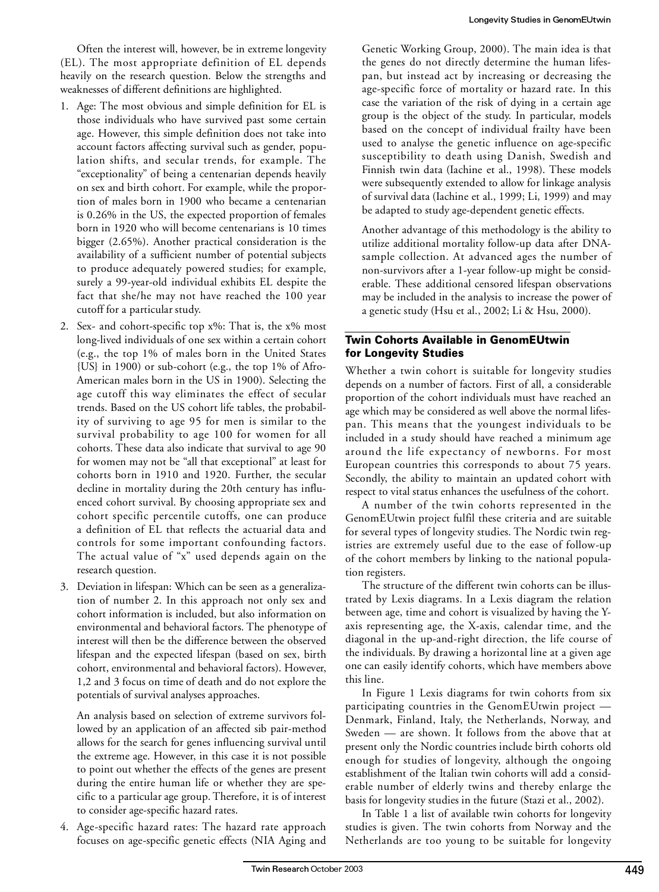Often the interest will, however, be in extreme longevity (EL). The most appropriate definition of EL depends heavily on the research question. Below the strengths and weaknesses of different definitions are highlighted.

- 1. Age: The most obvious and simple definition for EL is those individuals who have survived past some certain age. However, this simple definition does not take into account factors affecting survival such as gender, population shifts, and secular trends, for example. The "exceptionality" of being a centenarian depends heavily on sex and birth cohort. For example, while the proportion of males born in 1900 who became a centenarian is 0.26% in the US, the expected proportion of females born in 1920 who will become centenarians is 10 times bigger (2.65%). Another practical consideration is the availability of a sufficient number of potential subjects to produce adequately powered studies; for example, surely a 99-year-old individual exhibits EL despite the fact that she/he may not have reached the 100 year cutoff for a particular study.
- 2. Sex- and cohort-specific top x%: That is, the x% most long-lived individuals of one sex within a certain cohort (e.g., the top 1% of males born in the United States {US} in 1900) or sub-cohort (e.g., the top 1% of Afro-American males born in the US in 1900). Selecting the age cutoff this way eliminates the effect of secular trends. Based on the US cohort life tables, the probability of surviving to age 95 for men is similar to the survival probability to age 100 for women for all cohorts. These data also indicate that survival to age 90 for women may not be "all that exceptional" at least for cohorts born in 1910 and 1920. Further, the secular decline in mortality during the 20th century has influenced cohort survival. By choosing appropriate sex and cohort specific percentile cutoffs, one can produce a definition of EL that reflects the actuarial data and controls for some important confounding factors. The actual value of "x" used depends again on the research question.
- 3. Deviation in lifespan: Which can be seen as a generalization of number 2. In this approach not only sex and cohort information is included, but also information on environmental and behavioral factors. The phenotype of interest will then be the difference between the observed lifespan and the expected lifespan (based on sex, birth cohort, environmental and behavioral factors). However, 1,2 and 3 focus on time of death and do not explore the potentials of survival analyses approaches.

An analysis based on selection of extreme survivors followed by an application of an affected sib pair-method allows for the search for genes influencing survival until the extreme age. However, in this case it is not possible to point out whether the effects of the genes are present during the entire human life or whether they are specific to a particular age group. Therefore, it is of interest to consider age-specific hazard rates.

4. Age-specific hazard rates: The hazard rate approach focuses on age-specific genetic effects (NIA Aging and Genetic Working Group, 2000). The main idea is that the genes do not directly determine the human lifespan, but instead act by increasing or decreasing the age-specific force of mortality or hazard rate. In this case the variation of the risk of dying in a certain age group is the object of the study. In particular, models based on the concept of individual frailty have been used to analyse the genetic influence on age-specific susceptibility to death using Danish, Swedish and Finnish twin data (Iachine et al., 1998). These models were subsequently extended to allow for linkage analysis of survival data (Iachine et al., 1999; Li, 1999) and may be adapted to study age-dependent genetic effects.

Another advantage of this methodology is the ability to utilize additional mortality follow-up data after DNAsample collection. At advanced ages the number of non-survivors after a 1-year follow-up might be considerable. These additional censored lifespan observations may be included in the analysis to increase the power of a genetic study (Hsu et al., 2002; Li & Hsu, 2000).

# Twin Cohorts Available in GenomEUtwin for Longevity Studies

Whether a twin cohort is suitable for longevity studies depends on a number of factors. First of all, a considerable proportion of the cohort individuals must have reached an age which may be considered as well above the normal lifespan. This means that the youngest individuals to be included in a study should have reached a minimum age around the life expe ctancy of newborns. For most European countries this corresponds to about 75 years. Secondly, the ability to maintain an updated cohort with respect to vital status enhances the usefulness of the cohort.

A number of the twin cohorts represented in the GenomEUtwin project fulfil these criteria and are suitable for several types of longevity studies. The Nordic twin registries are extremely useful due to the ease of follow-up of the cohort members by linking to the national population registers.

The structure of the different twin cohorts can be illustrated by Lexis diagrams. In a Lexis diagram the relation between age, time and cohort is visualized by having the Y axis representing age, the X-axis, calendar time, and the diagonal in the up-and-right direction, the life course of the individuals. By drawing a horizontal line at a given age one can easily identify cohorts, which have members above this line.

In Figure 1 Lexis diagrams for twin cohorts from six participating countries in the GenomEUtwin project — Denmark, Finland, Italy, the Netherlands, Norway, and Sweden — are shown. It follows from the above that at present only the Nordic countries include birth cohorts old enough for studies of longevity, although the ongoing establishment of the Italian twin cohorts will add a considerable number of elderly twins and thereby enlarge the basis for longevity studies in the future (Stazi et al., 2002).

In Table 1 a list of available twin cohorts for longevity studies is given. The twin cohorts from Norway and the Netherlands are too young to be suitable for longevity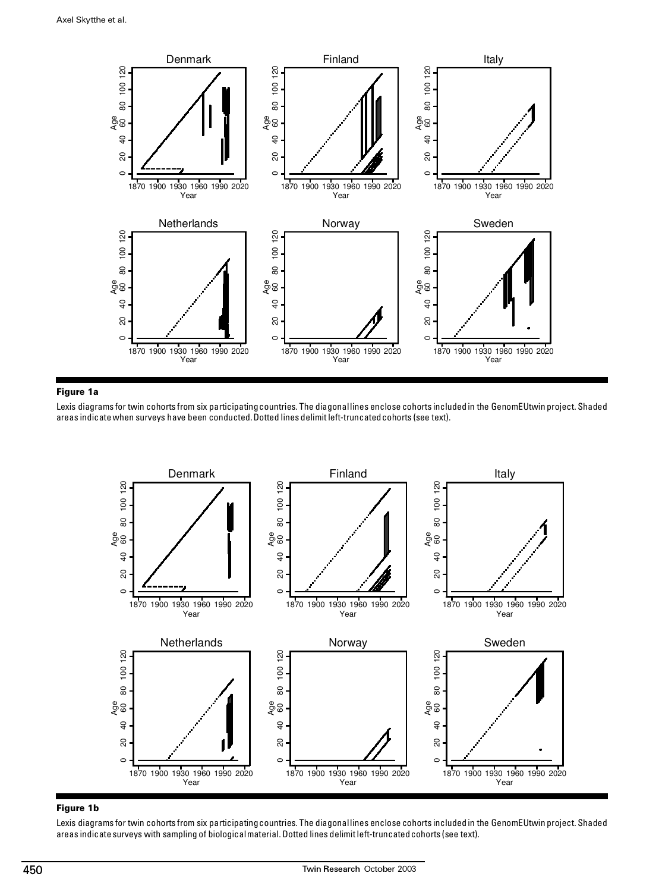

#### Figure 1a

Lexis diagrams for twin cohorts from six participating countries. The diagonal lines enclose cohorts included in the GenomEUtwin project. Shaded areas indicate when surveys have been conducted. Dotted lines delimit left-truncated cohorts (see text).



#### Figure 1b

Lexis diagrams for twin cohorts from six participating countries. The diagonal lines enclose cohorts included in the GenomEUtwin project. Shaded areas indicate surveys with sampling of biological material. Dotted lines delimit left-truncated cohorts (see text).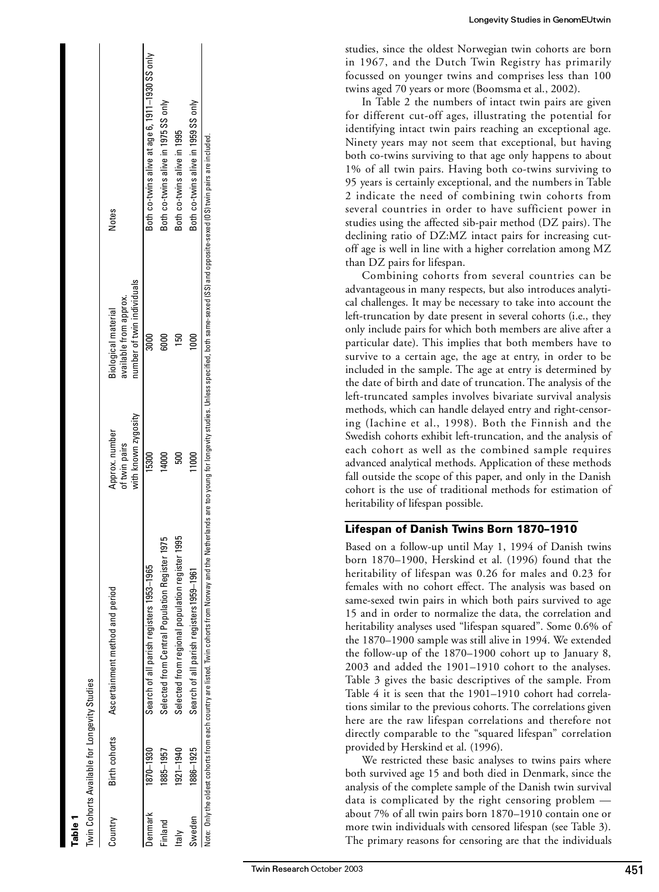| D |  |
|---|--|
|   |  |
|   |  |
|   |  |

|        | win Cohorts Available for Longevity Studies |  |
|--------|---------------------------------------------|--|
|        |                                             |  |
| ≌<br>a |                                             |  |

|         | Twin Cohorts Available for Longevity Studies |                                                                                                                                                                                                        |                                                       |                                                                             |                                                 |
|---------|----------------------------------------------|--------------------------------------------------------------------------------------------------------------------------------------------------------------------------------------------------------|-------------------------------------------------------|-----------------------------------------------------------------------------|-------------------------------------------------|
| Country | Birth cohorts                                | Ascertainment method and period                                                                                                                                                                        | with known zygosity<br>Approx.number<br>of twin pairs | number of twin individuals<br>available from approx.<br>Biological material | Notes                                           |
| Denmark | 1870-1930                                    | Search of all parish registers 1953-1965                                                                                                                                                               | 15300                                                 |                                                                             | Both co-twins alive at age 6, 1911-1930 SS only |
| Finland | 1885–1957                                    | Selected from Central Population Register 1975                                                                                                                                                         | 14000                                                 | 6000                                                                        | Both co-twins alive in 1975 SS only             |
| ta v    | $921 - 1940$                                 | Selected from regional population register 1995                                                                                                                                                        | ទី                                                    | ទេ                                                                          | Both co-twins alive in 1995                     |
| Sweden  | 1886-1925                                    | Search of all parish registers 1959-1961                                                                                                                                                               | 11000                                                 |                                                                             | Both co-twins alive in 1959 SS only             |
|         |                                              | Note: Only the oldest cohorts from each country are listed. Twin cohorts from Norway and the Netherlands are provided are included in provided included in the Same-sexed (OS) avia pairs are included |                                                       |                                                                             |                                                 |

Sweden 1886–1925 Search of all parish registers1959–1961 11000 11000 11000 1000 1000 1000 Both co-twins alive in 1959 SS only<br>Note: Only the oldest cohorts from each country are listed. Twin cohorts from Norway and the Net Note: Only the oldest cohorts from each country are listed. Twin cohorts from Norway and the Netherlands are bo young for longevity studies. Unless specified, both same-sexed (SS) and opposite-sexed (OS) twin pairs are inc Note: Only the oldest cohorts from each country are listed. Twin cohonots from Norway and the Nethands are too young for longevity studies. Unless specified, both same-sexed (SS) and opposite-sexed (OS) twin pairs are incl **Longevity Studies in GenomEUtwin**

studies, since the oldest Norwegian twin cohorts are born in 1967, and the Dutch Twin Registry has primarily focussed on younger twins and comprises less than 100 twins aged 70 years or more (Boomsma et al., 2002).

In Table 2 the numbers of intact twin pairs are given for different cut-off ages, illustrating the potential for identifying intact twin pairs reaching an exceptional age. Ninety years may not seem that exceptional, but having both co-twins surviving to that age only happens to about 1% of all twin pairs. Having both co-twins surviving to 95 years is certainly exceptional, and the numbers in Table 2 indicate the need of com bining twin cohorts from several countries in order to have sufficient power in studies using the affected sib-pair method (DZ pairs). The declining ratio of DZ:MZ intact pairs for increasing cutoff age is well in line with a higher correlation among MZ than DZ pairs for lifespan.

Co mbining cohorts from several countries can be advantageous in many respects, but also introduces analytical challenges. It may be necessary to take into account the left-truncation by date present in several cohorts (i.e., they only include pairs for which both members are alive after a particular date). This implies that both members have to survive to a certain age, the age at entry, in order to be included in the sample. The age at entry is determined by the date of birth and date of truncation. The analysis of the left-truncated samples involves bivariate survival analysis methods, which can handle delayed entry and right-censoring (Iachine et al., 1998). Both the Finnish and the Swedish cohorts exhibit left-truncation, and the analysis of each cohort as well as the combined sample requires advanced analytical methods. Application of these methods fall outside the scope of this paper, and only in the Danish cohort is the use of traditional methods for estimation of heritability of lifespan possible.

# Lifespan of Danish Twins B orn 18 7 0 –1910

Based on a follow-up until May 1, 1994 of Danish twins born 1870–1900, Herskind et al. (1996) found that the heritability of lifespan was 0.26 for males and 0.23 for females with no cohort effect. The analysis was based on same-sexed twin pairs in which both pairs survived to age 15 and in order to normalize the data, the correlation and heritability analyses used "lifespan squared". Some 0.6% of the 1870–1900 sample was still alive in 1994. We extended the follow-up of the 1870–1900 cohort up to January 8, 2003 and added the 1901–1910 cohort to the analyses. Table 3 gives the basic descriptives of the sample. From Table 4 it is seen that the 1901–1910 cohort had correlations similar to the previous cohorts. The correlations given here are the raw lifespan correlations and therefore not directly comparable to the "squared lifespan" correlation provided by Herskind et al. (1996).

We restricted these basic analyses to twins pairs where both survived age 15 and both died in Denmark, since the analysis of the complete sample of the Danish twin survival data is complicated by the right censoring problem about 7% of all twin pairs born 1870–1910 contain one or more twin individuals with censored lifespan (see Table 3). The primary reasons for censoring are that the individuals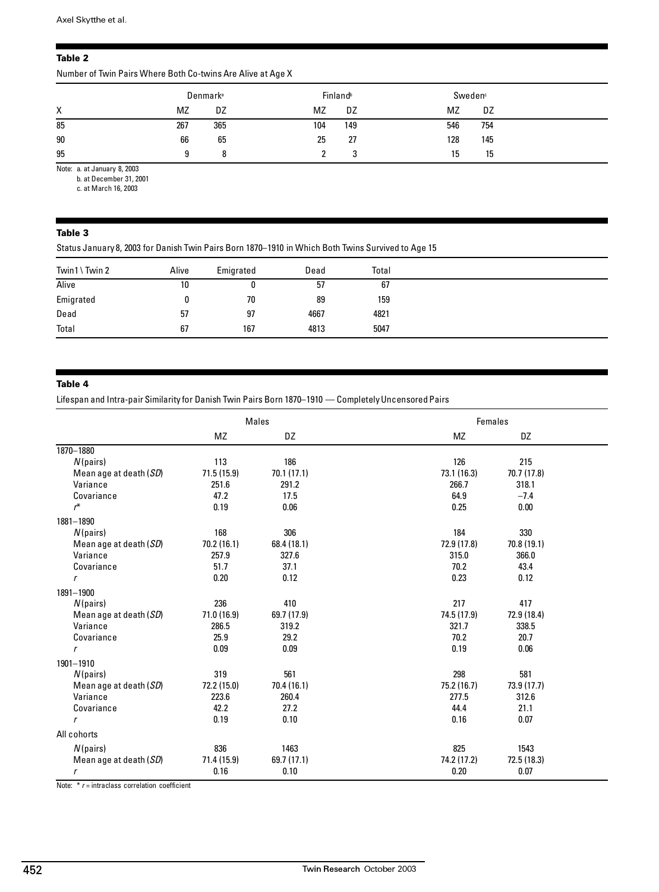# Table 2

Number of Twin Pairs Where Both Co-twins Are Alive at Age X

|    |           | <b>Denmark</b> <sup>a</sup> |     | <b>Finland</b> <sup>b</sup> |     | Sweden <sup>c</sup> |  |
|----|-----------|-----------------------------|-----|-----------------------------|-----|---------------------|--|
| Χ  | <b>MZ</b> | DZ                          | ΜZ  | DZ                          | ΜZ  | DZ                  |  |
| 85 | 267       | 365                         | 104 | 149                         | 546 | 754                 |  |
| 90 | 66        | 65                          | 25  | 27                          | 128 | 145                 |  |
| 95 |           |                             |     |                             | 15  | 15                  |  |

Note: a. at January 8, 2003

b. at December 31, 2001

c. at March 16, 2003

# Table 3

Status January 8, 2003 for Danish Twin Pairs Born 1870–1910 in Which Both Twins Survived to Age 15

| Twin1 \ Twin 2 | Alive | Emigrated | Dead | Total |
|----------------|-------|-----------|------|-------|
| Alive          | 10    |           | 57   | 67    |
| Emigrated      |       | 70        | 89   | 159   |
| Dead           | 57    | 97        | 4667 | 4821  |
| Total          | 67    | 167       | 4813 | 5047  |

# Table 4

Lifespan and Intra-pair Similarity for Danish Twin Pairs Born 1870–1910 — Completely Uncensored Pairs

|                          |             | Males       |             | <b>Females</b> |  |
|--------------------------|-------------|-------------|-------------|----------------|--|
|                          | ΜZ          | DZ          | MZ          | DZ             |  |
| 1870-1880                |             |             |             |                |  |
| $N$ (pairs)              | 113         | 186         | 126         | 215            |  |
| Mean age at death (SD)   | 71.5(15.9)  | 70.1 (17.1) | 73.1 (16.3) | 70.7 (17.8)    |  |
| Variance                 | 251.6       | 291.2       | 266.7       | 318.1          |  |
| Covariance               | 47.2        | 17.5        | 64.9        | $-7.4$         |  |
| $r^*$                    | 0.19        | 0.06        | 0.25        | 0.00           |  |
| 1881-1890                |             |             |             |                |  |
| $N$ (pairs)              | 168         | 306         | 184         | 330            |  |
| Mean age at death (SD)   | 70.2 (16.1) | 68.4 (18.1) | 72.9 (17.8) | 70.8 (19.1)    |  |
| Variance                 | 257.9       | 327.6       | 315.0       | 366.0          |  |
| Covariance               | 51.7        | 37.1        | 70.2        | 43.4           |  |
| $\mathsf{r}$             | 0.20        | 0.12        | 0.23        | 0.12           |  |
| 1891-1900                |             |             |             |                |  |
| $N$ (pairs)              | 236         | 410         | 217         | 417            |  |
| Mean age at death $(SD)$ | 71.0 (16.9) | 69.7 (17.9) | 74.5 (17.9) | 72.9 (18.4)    |  |
| Variance                 | 286.5       | 319.2       | 321.7       | 338.5          |  |
| Covariance               | 25.9        | 29.2        | 70.2        | 20.7           |  |
| $\mathsf{r}$             | 0.09        | 0.09        | 0.19        | 0.06           |  |
| 1901-1910                |             |             |             |                |  |
| $N$ (pairs)              | 319         | 561         | 298         | 581            |  |
| Mean age at death (SD)   | 72.2 (15.0) | 70.4 (16.1) | 75.2 (16.7) | 73.9 (17.7)    |  |
| Variance                 | 223.6       | 260.4       | 277.5       | 312.6          |  |
| Covariance               | 42.2        | 27.2        | 44.4        | 21.1           |  |
| $\mathsf{r}$             | 0.19        | 0.10        | 0.16        | 0.07           |  |
| All cohorts              |             |             |             |                |  |
| $N$ (pairs)              | 836         | 1463        | 825         | 1543           |  |
| Mean age at death $(SD)$ | 71.4 (15.9) | 69.7 (17.1) | 74.2 (17.2) | 72.5 (18.3)    |  |
| $\mathsf{r}$             | 0.16        | 0.10        | 0.20        | 0.07           |  |

Note: \*  $r =$  intraclass correlation coefficient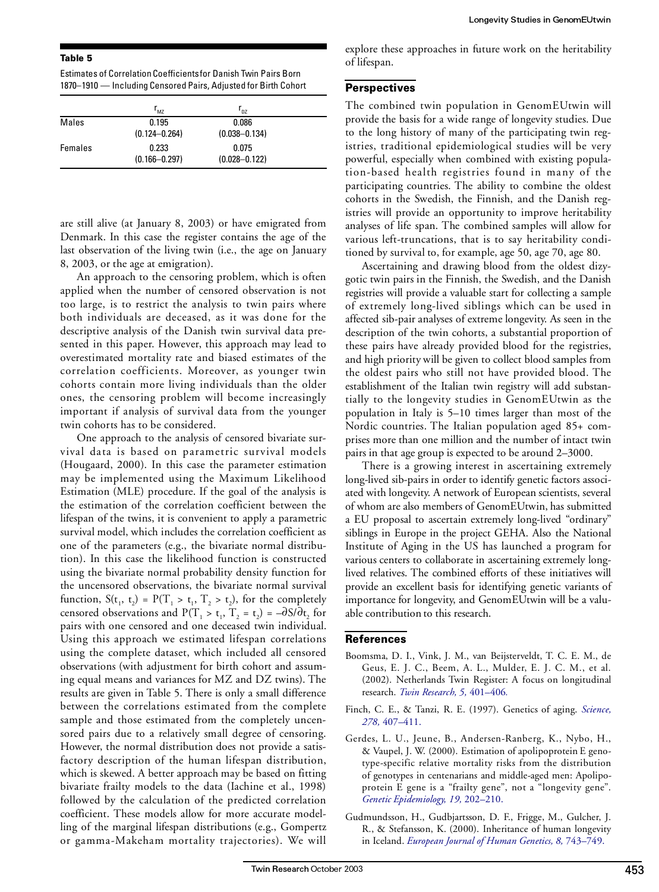Estimates of Correlation Coefficients for Danish Twin Pairs Born 1870–1910 — Including Censored Pairs, Adjusted for Birth Cohort

|         | $r_{MZ}$                   | $r_{\rm nz}$               |  |
|---------|----------------------------|----------------------------|--|
| Males   | 0.195<br>$(0.124 - 0.264)$ | 0.086<br>$(0.038 - 0.134)$ |  |
| Females | 0.233<br>$(0.166 - 0.297)$ | 0.075<br>$(0.028 - 0.122)$ |  |

are still alive (at January 8, 2003) or have emigrated from Denmark. In this case the register contains the age of the last observation of the living twin (i.e., the age on January 8, 2003, or the age at emigration).

An approach to the censoring problem, which is often applied when the number of censored observation is not too large, is to restrict the analysis to twin pairs where both individuals are deceased, as it was done for the descriptive analysis of the Danish twin survival data presented in this paper. However, this approach may lead to overestimated mortality rate and biased estimates of the correlation coefficients. Moreover, as younger twin cohorts contain more living individuals than the older ones, the censoring problem will become increasingly important if analysis of survival data from the younger twin cohorts has to be considered.

One approach to the analysis of censored bivariate sur vival data is based on parametric survival models (Hougaard, 2000). In this case the parameter estimation may be implemented using the Maximum Likelihood Estimation (MLE) procedure. If the goal of the analysis is the estimation of the correlation coefficient between the lifespan of the twins, it is convenient to apply a parametric survival model, which includes the correlation coefficient as one of the parameters (e.g., the bivariate normal distribution). In this case the likelihood function is constructed using the bivariate normal probability density function for the uncensored observations, the bivariate normal survival function,  $S(t_1, t_2) = P(T_1 > t_1, T_2 > t_2)$ , for the completely censored observations and  $P(T_1 > t_1, T_2 = t_2) = -\partial S/\partial t_2$  for pairs with one censored and one deceased twin individual. Using this approach we estimated lifespan correlations using the complete dataset, which included all censored observations (with adjustment for birth cohort and assuming equal means and variances for MZ and DZ twins). The results are given in Table 5. There is only a small difference between the correlations estimated from the complete sample and those estimated from the completely uncensored pairs due to a relatively small degree of censoring. However, the normal distribution does not provide a satisfactory description of the human lifespan distribution, which is skewed. A better approach may be based on fitting bivariate frailty models to the data (Iachine et al., 1998) followed by the calculation of the predicted correlation coefficient. These models allow for more accurate modelling of the marginal lifespan distributions (e.g., Gompertz or gamma-Makeham mortality trajectories). We will

explore these approaches in future work on the heritability of lifespan.

# **Perspectives**

The combined twin population in GenomEUtwin will provide the basis for a wide range of longevity studies. Due to the long history of many of the participating twin registries, traditional epidemiological studies will be very powerful, especially when combined with existing population-based health registries found in many of the participating countries. The ability to combine the oldest cohorts in the Swedish, the Finnish, and the Danish registries will provide an opportunity to improve heritability analyses of life span. The combined samples will allow for various left-truncations, that is to say heritability conditioned by survival to, for example, age 50, age 70, age 80.

Ascertaining and drawing blood from the oldest dizygotic twin pairs in the Finnish, the Swedish, and the Danish registries will provide a valuable start for collecting a sample of extremely long-lived siblings which can be used in affected sib-pair analyses of extreme longevity. As seen in the description of the twin cohorts, a substantial proportion of these pairs have already provided blood for the registries, and high priority will be given to collect blood samples from the oldest pairs who still not have provided blood. The establishment of the Italian twin registry will add substantially to the longevity studies in GenomEUtwin as the population in Italy is 5–10 times larger than most of the Nordic countries. The Italian population aged 85+ com prises more than one million and the number of intact twin pairs in that age group is expected to be around 2–3000.

There is a growing interest in ascertaining extremely long-lived sib-pairs in order to identify genetic factors associated with longevity. A network of European scientists, several of whom are also members of GenomEUtwin, has submitted a EU proposal to ascertain extremely long-lived "ordinary" siblings in Europe in the project GEHA. Also the National Institute of Aging in the US has launched a program for various centers to collaborate in ascertaining extremely longlived relatives. The combined efforts of these initiatives will provide an excellent basis for identifying genetic variants of importance for longevity, and GenomEUtwin will be a valuable contribution to this research.

# References

- Boomsma, D. I., Vink, J. M., van Beijsterveldt, T. C. E. M., de Geus, E. J. C., Beem, A. L., Mulder, E. J. C. M., et al. (2002). Netherlands Twin Register: A focus on longitudinal research. *[Twin Research, 5,](http://www.ingentaselect.com/rpsv/cgi-bin/linker?ext=a&reqidx=/1369-0523^28^295L.401[aid=3481163])* 401–406*.*
- Finch, C. E., & Tanzi, R. E. (1997). Genetics of aging. *[Science,](http://www.ingentaselect.com/rpsv/cgi-bin/linker?ext=a&reqidx=/0036-8075^28^29278L.407[aid=526959]) 278,* [407–411.](http://www.ingentaselect.com/rpsv/cgi-bin/linker?ext=a&reqidx=/0036-8075^28^29278L.407[aid=526959])
- Gerdes, L. U., Jeune, B., Andersen-Ranberg, K., Nybo, H., & Vaupel, J. W. (2000). Estimation of apolipoprotein E genotype-specific relative mortality risks from the distribution of genotypes in centenarians and middle-aged men: Apolipoprotein E gene is a "frailty gene", not a "longevity gene". *[Genetic Epidemiology, 19,](http://www.ingentaselect.com/rpsv/cgi-bin/linker?ext=a&reqidx=/0741-0395^28^2919L.202[aid=5338719])* 202–210.
- Gudmundsson, H., Gudbjartsson, D. F., Frigge, M., Gulcher, J. R., & Stefansson, K. (2000). Inheritance of human longevity in Iceland. *[European Journal of Human Genetics, 8,](http://www.ingentaselect.com/rpsv/cgi-bin/linker?ext=a&reqidx=/1018-4813^28^298L.743[aid=5338720])* 743–749.